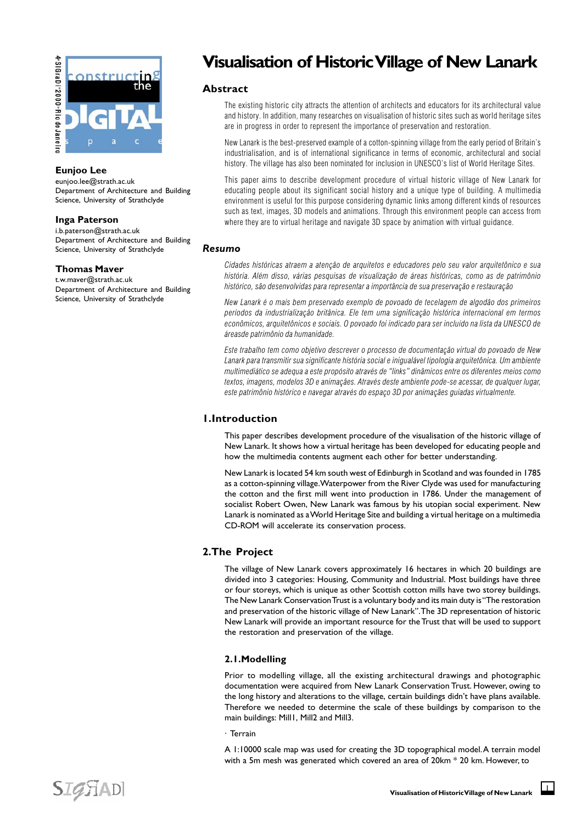

## **Eunjoo Lee**

eunjoo.lee@strath.ac.uk Department of Architecture and Building Science, University of Strathclyde

## **Inga Paterson**

i.b.paterson@strath.ac.uk Department of Architecture and Building Science, University of Strathclyde

#### **Thomas Maver**

t.w.maver@strath.ac.uk Department of Architecture and Building Science, University of Strathclyde

# **Visualisation of Historic Village of New Lanark**

# **Abstract**

The existing historic city attracts the attention of architects and educators for its architectural value and history. In addition, many researches on visualisation of historic sites such as world heritage sites are in progress in order to represent the importance of preservation and restoration.

New Lanark is the best-preserved example of a cotton-spinning village from the early period of Britain's industrialisation, and is of international significance in terms of economic, architectural and social history. The village has also been nominated for inclusion in UNESCO's list of World Heritage Sites.

This paper aims to describe development procedure of virtual historic village of New Lanark for educating people about its significant social history and a unique type of building. A multimedia environment is useful for this purpose considering dynamic links among different kinds of resources such as text, images, 3D models and animations. Through this environment people can access from where they are to virtual heritage and navigate 3D space by animation with virtual guidance.

# *Resumo*

Cidades históricas atraem a atenção de arquitetos e educadores pelo seu valor arquitetônico e sua história. Além disso, várias pesquisas de visualização de áreas históricas, como as de patrimônio histórico, são desenvolvidas para representar a importância de sua preservação e restauração

New Lanark é o mais bem preservado exemplo de povoado de tecelagem de algodão dos primeiros períodos da industrialização britânica. Ele tem uma significação histórica internacional em termos econômicos, arquitetônicos e sociais. O povoado foi indicado para ser incluído na lista da UNESCO de áreasde patrimônio da humanidade.

Este trabalho tem como objetivo descrever o processo de documentação virtual do povoado de New Lanark para transmitir sua significante história social e inigualável tipologia arquitetônica. Um ambiente multimediático se adequa a este propósito através de "links" dinâmicos entre os diferentes meios como textos, imagens, modelos 3D e animaçães. Através deste ambiente pode-se acessar, de qualquer lugar, este patrimônio histórico e navegar através do espaço 3D por animaçães guiadas virtualmente.

# **1.Introduction**

This paper describes development procedure of the visualisation of the historic village of New Lanark. It shows how a virtual heritage has been developed for educating people and how the multimedia contents augment each other for better understanding.

New Lanark is located 54 km south west of Edinburgh in Scotland and was founded in 1785 as a cotton-spinning village. Waterpower from the River Clyde was used for manufacturing the cotton and the first mill went into production in 1786. Under the management of socialist Robert Owen, New Lanark was famous by his utopian social experiment. New Lanark is nominated as a World Heritage Site and building a virtual heritage on a multimedia CD-ROM will accelerate its conservation process.

# **2.The Project**

The village of New Lanark covers approximately 16 hectares in which 20 buildings are divided into 3 categories: Housing, Community and Industrial. Most buildings have three or four storeys, which is unique as other Scottish cotton mills have two storey buildings. The New Lanark Conservation Trust is a voluntary body and its main duty is "The restoration and preservation of the historic village of New Lanark". The 3D representation of historic New Lanark will provide an important resource for the Trust that will be used to support the restoration and preservation of the village.

# **2.1.Modelling**

Prior to modelling village, all the existing architectural drawings and photographic documentation were acquired from New Lanark Conservation Trust. However, owing to the long history and alterations to the village, certain buildings didn't have plans available. Therefore we needed to determine the scale of these buildings by comparison to the main buildings: Mill1, Mill2 and Mill3.

#### · Terrain

A 1:10000 scale map was used for creating the 3D topographical model. A terrain model with a 5m mesh was generated which covered an area of 20km \* 20 km. However, to